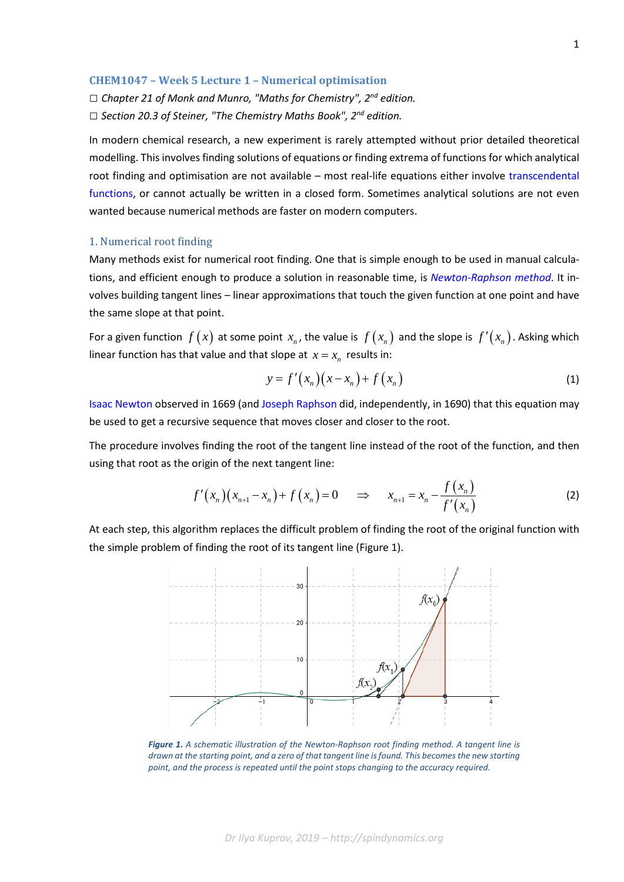## **CHEM1047 – Week 5 Lecture 1 – Numerical optimisation**

*□ Chapter 21 of Monk and Munro, "Maths for Chemistry", 2nd edition.*

*□ Section 20.3 of Steiner, "The Chemistry Maths Book", 2nd edition.*

In modern chemical research, a new experiment is rarely attempted without prior detailed theoretical modelling. This involves finding solutions of equations or finding extrema of functions for which analytical root finding and optimisation are not available – most real-life equations either involve [transcendental](https://en.wikipedia.org/wiki/Transcendental_function)  [functions,](https://en.wikipedia.org/wiki/Transcendental_function) or cannot actually be written in a closed form. Sometimes analytical solutions are not even wanted because numerical methods are faster on modern computers.

#### 1. Numerical root finding

Many methods exist for numerical root finding. One that is simple enough to be used in manual calculations, and efficient enough to produce a solution in reasonable time, is *[Newton-Raphson method](https://en.wikipedia.org/wiki/Newton%27s_method)*. It involves building tangent lines – linear approximations that touch the given function at one point and have the same slope at that point.

For a given function  $f(x)$  at some point  $x_n$ , the value is  $f(x_n)$  and the slope is  $f'(x_n)$ . Asking which linear function has that value and that slope at  $x = x_n$  results in:

$$
y = f'(x_n)(x - x_n) + f(x_n)
$$
\n<sup>(1)</sup>

[Isaac Newton](https://en.wikipedia.org/wiki/Isaac_Newton) observed in 1669 (an[d Joseph Raphson](https://en.wikipedia.org/wiki/Joseph_Raphson) did, independently, in 1690) that this equation may be used to get a recursive sequence that moves closer and closer to the root.

The procedure involves finding the root of the tangent line instead of the root of the function, and then using that root as the origin of the next tangent line:

$$
f'(x_n)(x_{n+1} - x_n) + f(x_n) = 0 \quad \Rightarrow \quad x_{n+1} = x_n - \frac{f(x_n)}{f'(x_n)}
$$
 (2)

At each step, this algorithm replaces the difficult problem of finding the root of the original function with the simple problem of finding the root of its tangent line (Figure 1).



*Figure 1. A schematic illustration of the Newton-Raphson root finding method. A tangent line is drawn at the starting point, and a zero of that tangent line is found. This becomes the new starting point, and the process is repeated until the point stops changing to the accuracy required.*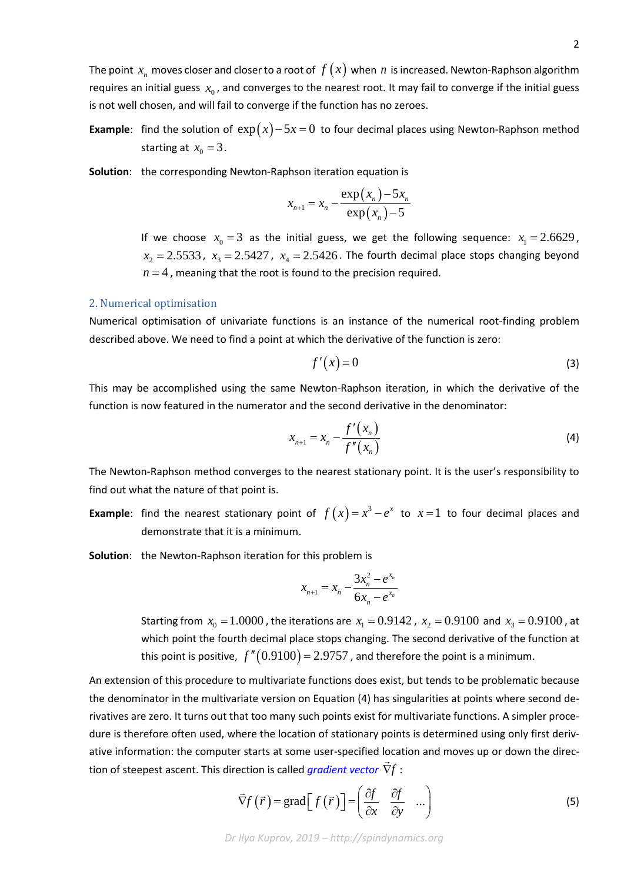The point  $x_n$  moves closer and closer to a root of  $f(x)$  when  $n$  is increased. Newton-Raphson algorithm requires an initial guess  $x_0$ , and converges to the nearest root. It may fail to converge if the initial guess is not well chosen, and will fail to converge if the function has no zeroes.

**Example**: find the solution of  $exp(x) - 5x = 0$  to four decimal places using Newton-Raphson method starting at  $x_0 = 3$ .

**Solution**: the corresponding Newton-Raphson iteration equation is

$$
x_{n+1} = x_n - \frac{\exp(x_n) - 5x_n}{\exp(x_n) - 5}
$$

If we choose  $x_0 = 3$  as the initial guess, we get the following sequence:  $x_1 = 2.6629$ ,  $x_2 = 2.5533$ ,  $x_3 = 2.5427$ ,  $x_4 = 2.5426$ . The fourth decimal place stops changing beyond  $n = 4$ , meaning that the root is found to the precision required.

#### 2. Numerical optimisation

Numerical optimisation of univariate functions is an instance of the numerical root-finding problem described above. We need to find a point at which the derivative of the function is zero:

$$
f'(x) = 0 \tag{3}
$$

This may be accomplished using the same Newton-Raphson iteration, in which the derivative of the function is now featured in the numerator and the second derivative in the denominator:

$$
x_{n+1} = x_n - \frac{f'(x_n)}{f''(x_n)}
$$
 (4)

The Newton-Raphson method converges to the nearest stationary point. It is the user's responsibility to find out what the nature of that point is.

**Example**: find the nearest stationary point of  $f(x) = x^3 - e^x$  to  $x = 1$  to four decimal places and demonstrate that it is a minimum.

**Solution**: the Newton-Raphson iteration for this problem is

$$
x_{n+1} = x_n - \frac{3x_n^2 - e^{x_n}}{6x_n - e^{x_n}}
$$

Starting from  $x_0 = 1.0000$ , the iterations are  $x_1 = 0.9142$ ,  $x_2 = 0.9100$  and  $x_3 = 0.9100$ , at which point the fourth decimal place stops changing. The second derivative of the function at this point is positive,  $f''(0.9100) = 2.9757$ , and therefore the point is a minimum.

An extension of this procedure to multivariate functions does exist, but tends to be problematic because the denominator in the multivariate version on Equation (4) has singularities at points where second derivatives are zero. It turns out that too many such points exist for multivariate functions. A simpler procedure is therefore often used, where the location of stationary points is determined using only first derivative information: the computer starts at some user-specified location and moves up or down the direction of steepest ascent. This direction is called *[gradient vector](https://en.wikipedia.org/wiki/Gradient_descent)* ∇*f* :

$$
\vec{\nabla} f(\vec{r}) = \text{grad}\left[f(\vec{r})\right] = \begin{pmatrix} \frac{\partial f}{\partial x} & \frac{\partial f}{\partial y} & \dots \\ \frac{\partial f}{\partial x} & \frac{\partial f}{\partial y} & \dots \end{pmatrix}
$$
(5)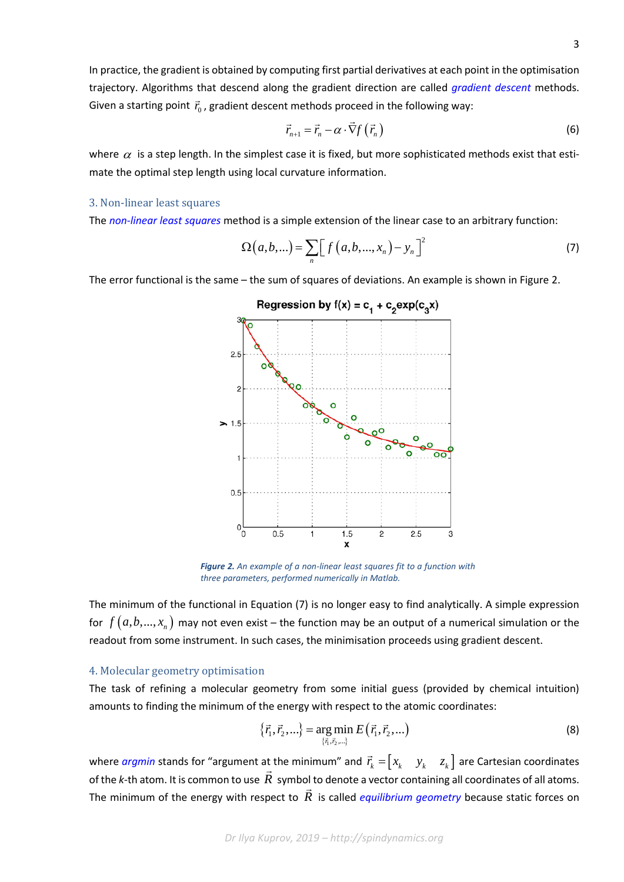In practice, the gradient is obtained by computing first partial derivatives at each point in the optimisation trajectory. Algorithms that descend along the gradient direction are called *[gradient descent](https://en.wikipedia.org/wiki/Gradient_descent)* methods. Given a starting point  $\vec{r}_0$ , gradient descent methods proceed in the following way:

$$
\vec{r}_{n+1} = \vec{r}_n - \alpha \cdot \vec{\nabla} f\left(\vec{r}_n\right)
$$
 (6)

where  $\alpha$  is a step length. In the simplest case it is fixed, but more sophisticated methods exist that estimate the optimal step length using local curvature information.

### 3. Non-linear least squares

The *[non-linear least squares](https://en.wikipedia.org/wiki/Non-linear_least_squares)* method is a simple extension of the linear case to an arbitrary function:

$$
\Omega(a, b, \ldots) = \sum_{n} \left[ f(a, b, \ldots, x_{n}) - y_{n} \right]^{2}
$$
 (7)

The error functional is the same – the sum of squares of deviations. An example is shown in Figure 2.



*Figure 2. An example of a non-linear least squares fit to a function with three parameters, performed numerically in Matlab.*

The minimum of the functional in Equation (7) is no longer easy to find analytically. A simple expression for  $f(a, b, ..., x_n)$  may not even exist – the function may be an output of a numerical simulation or the readout from some instrument. In such cases, the minimisation proceeds using gradient descent.

# 4. Molecular geometry optimisation

The task of refining a molecular geometry from some initial guess (provided by chemical intuition) amounts to finding the minimum of the energy with respect to the atomic coordinates:

$$
\{\vec{r}_1, \vec{r}_2, ...\} = \underset{\{\vec{r}_1, \vec{r}_2, ...\}}{\arg \min} E(\vec{r}_1, \vec{r}_2, ...)
$$
 (8)

where *[argmin](https://en.wikipedia.org/wiki/Arg_max)* stands for "argument at the minimum" and  $\vec{r}_k = \begin{bmatrix} x_k & y_k & z_k \end{bmatrix}$  are Cartesian coordinates of the *k*-th atom. It is common to use *R* symbol to denote a vector containing all coordinates of all atoms. The minimum of the energy with respect to *R* is called *[equilibrium geometry](https://en.wikipedia.org/wiki/Molecular_geometry)* because static forces on